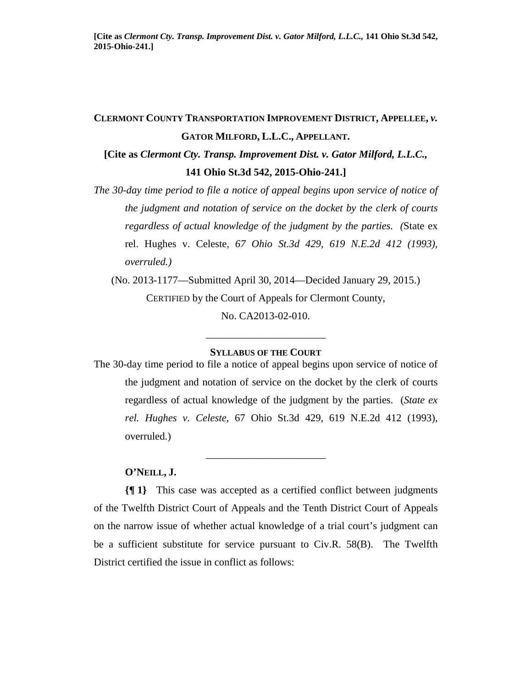# **CLERMONT COUNTY TRANSPORTATION IMPROVEMENT DISTRICT, APPELLEE,** *v.* **GATOR MILFORD, L.L.C., APPELLANT. [Cite as** *Clermont Cty. Transp. Improvement Dist. v. Gator Milford, L.L.C.,*

## **141 Ohio St.3d 542, 2015-Ohio-241.]**

*The 30-day time period to file a notice of appeal begins upon service of notice of the judgment and notation of service on the docket by the clerk of courts regardless of actual knowledge of the judgment by the parties. (*State ex rel. Hughes v. Celeste, *67 Ohio St.3d 429, 619 N.E.2d 412 (1993), overruled.)* 

(No. 2013-1177—Submitted April 30, 2014—Decided January 29, 2015.) CERTIFIED by the Court of Appeals for Clermont County, No. CA2013-02-010.

# \_\_\_\_\_\_\_\_\_\_\_\_\_\_\_\_\_\_\_\_\_\_\_ **SYLLABUS OF THE COURT**

The 30-day time period to file a notice of appeal begins upon service of notice of the judgment and notation of service on the docket by the clerk of courts regardless of actual knowledge of the judgment by the parties. (*State ex rel. Hughes v. Celeste*, 67 Ohio St.3d 429, 619 N.E.2d 412 (1993), overruled.)

\_\_\_\_\_\_\_\_\_\_\_\_\_\_\_\_\_\_\_\_\_\_\_

#### **O'NEILL, J.**

**{¶ 1}** This case was accepted as a certified conflict between judgments of the Twelfth District Court of Appeals and the Tenth District Court of Appeals on the narrow issue of whether actual knowledge of a trial court's judgment can be a sufficient substitute for service pursuant to Civ.R. 58(B). The Twelfth District certified the issue in conflict as follows: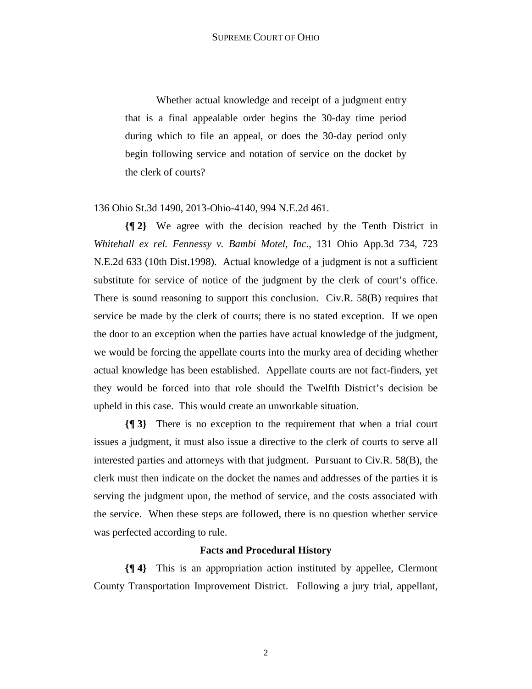Whether actual knowledge and receipt of a judgment entry that is a final appealable order begins the 30-day time period during which to file an appeal, or does the 30-day period only begin following service and notation of service on the docket by the clerk of courts?

## 136 Ohio St.3d 1490, 2013-Ohio-4140, 994 N.E.2d 461.

**{¶ 2}** We agree with the decision reached by the Tenth District in *Whitehall ex rel. Fennessy v. Bambi Motel, Inc*., 131 Ohio App.3d 734, 723 N.E.2d 633 (10th Dist.1998). Actual knowledge of a judgment is not a sufficient substitute for service of notice of the judgment by the clerk of court's office. There is sound reasoning to support this conclusion. Civ.R. 58(B) requires that service be made by the clerk of courts; there is no stated exception. If we open the door to an exception when the parties have actual knowledge of the judgment, we would be forcing the appellate courts into the murky area of deciding whether actual knowledge has been established. Appellate courts are not fact-finders, yet they would be forced into that role should the Twelfth District's decision be upheld in this case. This would create an unworkable situation.

**{¶ 3}** There is no exception to the requirement that when a trial court issues a judgment, it must also issue a directive to the clerk of courts to serve all interested parties and attorneys with that judgment. Pursuant to Civ.R. 58(B), the clerk must then indicate on the docket the names and addresses of the parties it is serving the judgment upon, the method of service, and the costs associated with the service. When these steps are followed, there is no question whether service was perfected according to rule.

#### **Facts and Procedural History**

**{¶ 4}** This is an appropriation action instituted by appellee, Clermont County Transportation Improvement District. Following a jury trial, appellant,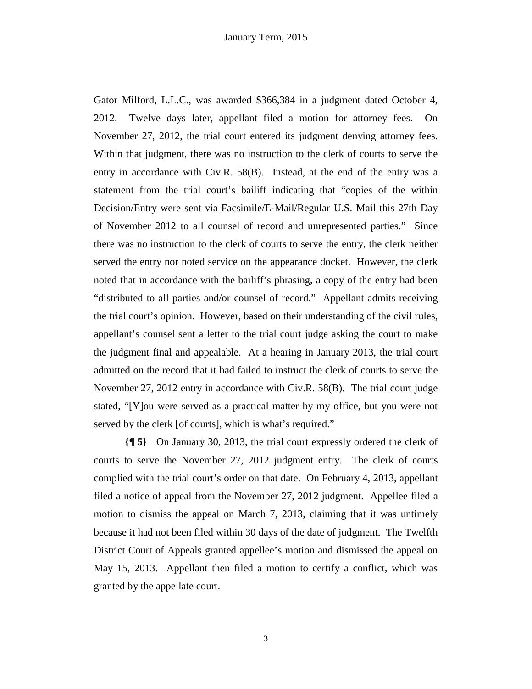Gator Milford, L.L.C., was awarded \$366,384 in a judgment dated October 4, 2012. Twelve days later, appellant filed a motion for attorney fees. On November 27, 2012, the trial court entered its judgment denying attorney fees. Within that judgment, there was no instruction to the clerk of courts to serve the entry in accordance with Civ.R. 58(B). Instead, at the end of the entry was a statement from the trial court's bailiff indicating that "copies of the within Decision/Entry were sent via Facsimile/E-Mail/Regular U.S. Mail this 27th Day of November 2012 to all counsel of record and unrepresented parties." Since there was no instruction to the clerk of courts to serve the entry, the clerk neither served the entry nor noted service on the appearance docket. However, the clerk noted that in accordance with the bailiff's phrasing, a copy of the entry had been "distributed to all parties and/or counsel of record." Appellant admits receiving the trial court's opinion. However, based on their understanding of the civil rules, appellant's counsel sent a letter to the trial court judge asking the court to make the judgment final and appealable. At a hearing in January 2013, the trial court admitted on the record that it had failed to instruct the clerk of courts to serve the November 27, 2012 entry in accordance with Civ.R. 58(B). The trial court judge stated, "[Y]ou were served as a practical matter by my office, but you were not served by the clerk [of courts], which is what's required."

**{¶ 5}** On January 30, 2013, the trial court expressly ordered the clerk of courts to serve the November 27, 2012 judgment entry. The clerk of courts complied with the trial court's order on that date. On February 4, 2013, appellant filed a notice of appeal from the November 27, 2012 judgment. Appellee filed a motion to dismiss the appeal on March 7, 2013, claiming that it was untimely because it had not been filed within 30 days of the date of judgment. The Twelfth District Court of Appeals granted appellee's motion and dismissed the appeal on May 15, 2013. Appellant then filed a motion to certify a conflict, which was granted by the appellate court.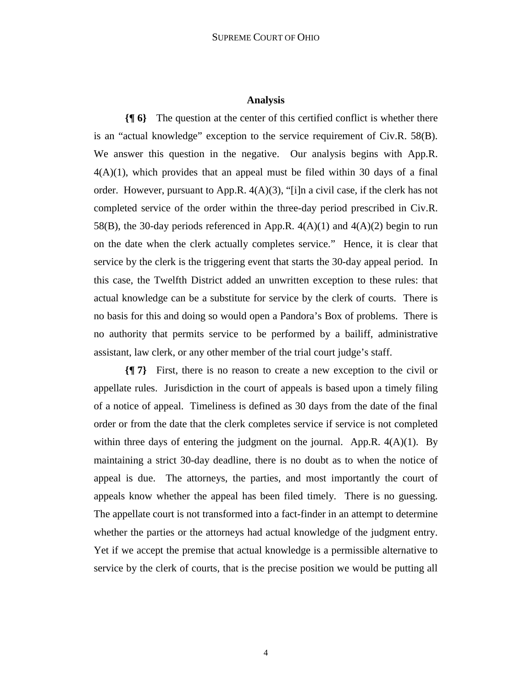#### **Analysis**

**{¶ 6}** The question at the center of this certified conflict is whether there is an "actual knowledge" exception to the service requirement of Civ.R. 58(B). We answer this question in the negative. Our analysis begins with App.R.  $4(A)(1)$ , which provides that an appeal must be filed within 30 days of a final order. However, pursuant to App.R.  $4(A)(3)$ , "[i]n a civil case, if the clerk has not completed service of the order within the three-day period prescribed in Civ.R. 58(B), the 30-day periods referenced in App.R.  $4(A)(1)$  and  $4(A)(2)$  begin to run on the date when the clerk actually completes service." Hence, it is clear that service by the clerk is the triggering event that starts the 30-day appeal period. In this case, the Twelfth District added an unwritten exception to these rules: that actual knowledge can be a substitute for service by the clerk of courts. There is no basis for this and doing so would open a Pandora's Box of problems. There is no authority that permits service to be performed by a bailiff, administrative assistant, law clerk, or any other member of the trial court judge's staff.

**{¶ 7}** First, there is no reason to create a new exception to the civil or appellate rules. Jurisdiction in the court of appeals is based upon a timely filing of a notice of appeal. Timeliness is defined as 30 days from the date of the final order or from the date that the clerk completes service if service is not completed within three days of entering the judgment on the journal. App.R.  $4(A)(1)$ . By maintaining a strict 30-day deadline, there is no doubt as to when the notice of appeal is due. The attorneys, the parties, and most importantly the court of appeals know whether the appeal has been filed timely. There is no guessing. The appellate court is not transformed into a fact-finder in an attempt to determine whether the parties or the attorneys had actual knowledge of the judgment entry. Yet if we accept the premise that actual knowledge is a permissible alternative to service by the clerk of courts, that is the precise position we would be putting all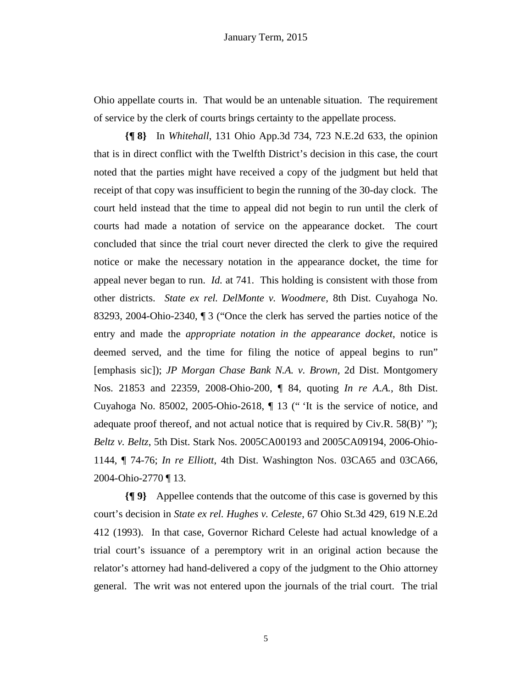Ohio appellate courts in. That would be an untenable situation. The requirement of service by the clerk of courts brings certainty to the appellate process.

**{¶ 8}** In *Whitehall*, 131 Ohio App.3d 734, 723 N.E.2d 633, the opinion that is in direct conflict with the Twelfth District's decision in this case, the court noted that the parties might have received a copy of the judgment but held that receipt of that copy was insufficient to begin the running of the 30-day clock. The court held instead that the time to appeal did not begin to run until the clerk of courts had made a notation of service on the appearance docket. The court concluded that since the trial court never directed the clerk to give the required notice or make the necessary notation in the appearance docket, the time for appeal never began to run. *Id.* at 741. This holding is consistent with those from other districts. *State ex rel. DelMonte v. Woodmere,* 8th Dist. Cuyahoga No. 83293, 2004-Ohio-2340, ¶ 3 ("Once the clerk has served the parties notice of the entry and made the *appropriate notation in the appearance docket*, notice is deemed served, and the time for filing the notice of appeal begins to run" [emphasis sic]); *JP Morgan Chase Bank N.A. v. Brown,* 2d Dist. Montgomery Nos. 21853 and 22359, 2008-Ohio-200, ¶ 84, quoting *In re A.A.*, 8th Dist. Cuyahoga No. 85002, 2005-Ohio-2618, ¶ 13 (" 'It is the service of notice, and adequate proof thereof, and not actual notice that is required by Civ.R. 58(B)' "); *Beltz v. Beltz*, 5th Dist. Stark Nos. 2005CA00193 and 2005CA09194, 2006-Ohio-1144, ¶ 74-76; *In re Elliott*, 4th Dist. Washington Nos. 03CA65 and 03CA66, 2004-Ohio-2770 ¶ 13.

**{¶ 9}** Appellee contends that the outcome of this case is governed by this court's decision in *State ex rel. Hughes v. Celeste*, 67 Ohio St.3d 429, 619 N.E.2d 412 (1993). In that case, Governor Richard Celeste had actual knowledge of a trial court's issuance of a peremptory writ in an original action because the relator's attorney had hand-delivered a copy of the judgment to the Ohio attorney general. The writ was not entered upon the journals of the trial court. The trial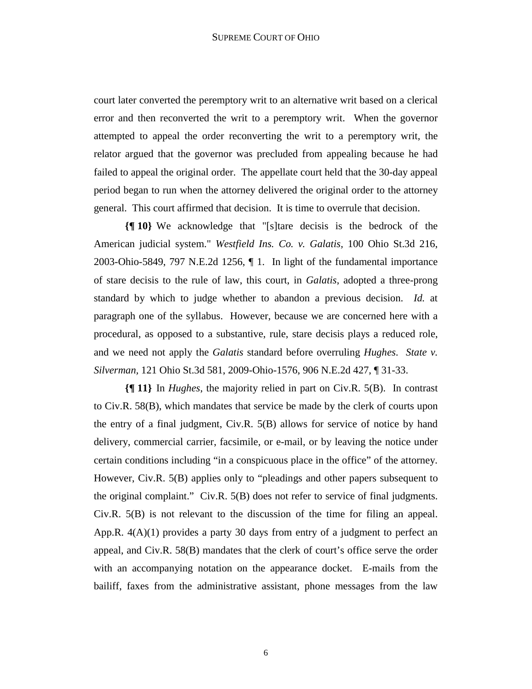court later converted the peremptory writ to an alternative writ based on a clerical error and then reconverted the writ to a peremptory writ. When the governor attempted to appeal the order reconverting the writ to a peremptory writ, the relator argued that the governor was precluded from appealing because he had failed to appeal the original order. The appellate court held that the 30-day appeal period began to run when the attorney delivered the original order to the attorney general. This court affirmed that decision. It is time to overrule that decision.

**{¶ 10}** We acknowledge that "[s]tare decisis is the bedrock of the American judicial system." *Westfield Ins. Co. v. Galatis,* 100 Ohio St.3d 216, 2003-Ohio-5849, 797 N.E.2d 1256, ¶ 1. In light of the fundamental importance of stare decisis to the rule of law, this court, in *Galatis*, adopted a three-prong standard by which to judge whether to abandon a previous decision. *Id.* at paragraph one of the syllabus. However, because we are concerned here with a procedural, as opposed to a substantive, rule, stare decisis plays a reduced role, and we need not apply the *Galatis* standard before overruling *Hughes*. *State v. Silverman,* 121 Ohio St.3d 581, 2009-Ohio-1576, 906 N.E.2d 427, ¶ 31-33.

**{¶ 11}** In *Hughes*, the majority relied in part on Civ.R. 5(B). In contrast to Civ.R. 58(B), which mandates that service be made by the clerk of courts upon the entry of a final judgment, Civ.R. 5(B) allows for service of notice by hand delivery, commercial carrier, facsimile, or e-mail, or by leaving the notice under certain conditions including "in a conspicuous place in the office" of the attorney. However, Civ.R. 5(B) applies only to "pleadings and other papers subsequent to the original complaint." Civ.R. 5(B) does not refer to service of final judgments. Civ.R. 5(B) is not relevant to the discussion of the time for filing an appeal. App.R.  $4(A)(1)$  provides a party 30 days from entry of a judgment to perfect an appeal, and Civ.R. 58(B) mandates that the clerk of court's office serve the order with an accompanying notation on the appearance docket. E-mails from the bailiff, faxes from the administrative assistant, phone messages from the law